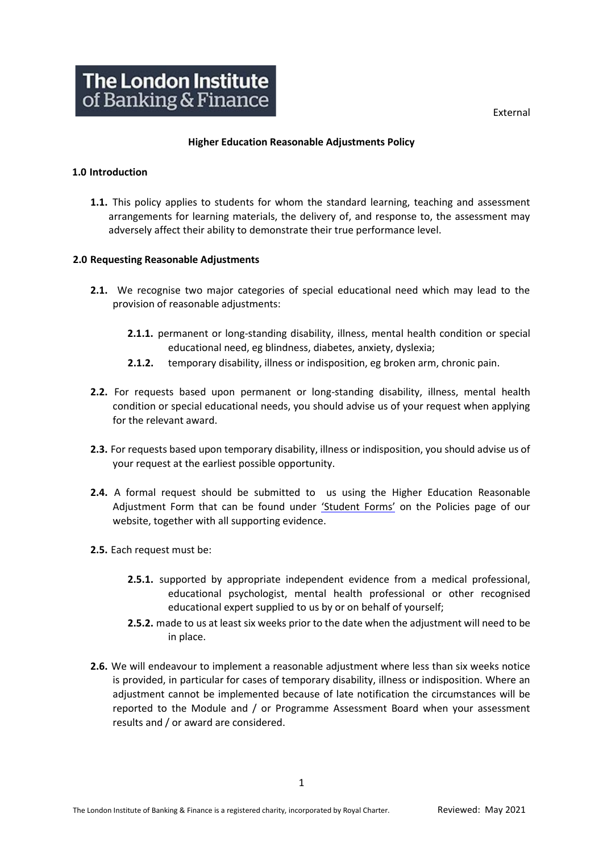External



#### **Higher Education Reasonable Adjustments Policy**

## **1.0 Introduction**

**1.1.** This policy applies to students for whom the standard learning, teaching and assessment arrangements for learning materials, the delivery of, and response to, the assessment may adversely affect their ability to demonstrate their true performance level.

## **2.0 Requesting Reasonable Adjustments**

- **2.1.** We recognise two major categories of special educational need which may lead to the provision of reasonable adjustments:
	- **2.1.1.** permanent or long-standing disability, illness, mental health condition or special educational need, eg blindness, diabetes, anxiety, dyslexia;
	- **2.1.2.** temporary disability, illness or indisposition, eg broken arm, chronic pain.
- **2.2.** For requests based upon permanent or long-standing disability, illness, mental health condition or special educational needs, you should advise us of your request when applying for the relevant award.
- **2.3.** For requests based upon temporary disability, illness or indisposition, you should advise us of your request at the earliest possible opportunity.
- **2.4.** A formal request should be submitted to us using the Higher Education Reasonable Adjustment Form that can be found under ['Student Forms'](https://www.libf.ac.uk/about-us/policies-regulations-and-code-of-practice) on the Policies page of our website, together with all supporting evidence.
- **2.5.** Each request must be:
	- **2.5.1.** supported by appropriate independent evidence from a medical professional, educational psychologist, mental health professional or other recognised educational expert supplied to us by or on behalf of yourself;
	- **2.5.2.** made to us at least six weeks prior to the date when the adjustment will need to be in place.
- **2.6.** We will endeavour to implement a reasonable adjustment where less than six weeks notice is provided, in particular for cases of temporary disability, illness or indisposition. Where an adjustment cannot be implemented because of late notification the circumstances will be reported to the Module and / or Programme Assessment Board when your assessment results and / or award are considered.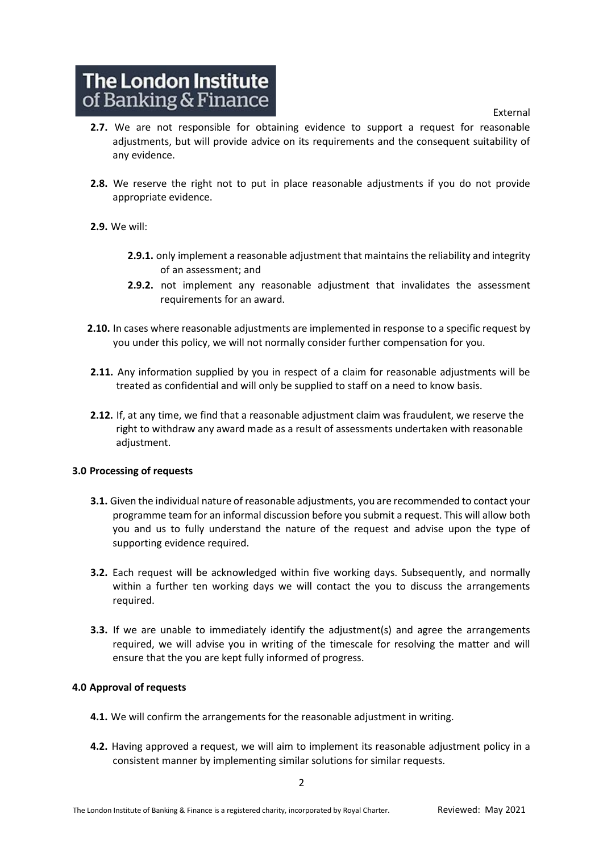External

# The London Institute of Banking & Finance

- **2.7.** We are not responsible for obtaining evidence to support a request for reasonable adjustments, but will provide advice on its requirements and the consequent suitability of any evidence.
- **2.8.** We reserve the right not to put in place reasonable adjustments if you do not provide appropriate evidence.
- **2.9.** We will:
	- **2.9.1.** only implement a reasonable adjustment that maintains the reliability and integrity of an assessment; and
	- **2.9.2.** not implement any reasonable adjustment that invalidates the assessment requirements for an award.
- **2.10.** In cases where reasonable adjustments are implemented in response to a specific request by you under this policy, we will not normally consider further compensation for you.
- **2.11.** Any information supplied by you in respect of a claim for reasonable adjustments will be treated as confidential and will only be supplied to staff on a need to know basis.
- **2.12.** If, at any time, we find that a reasonable adjustment claim was fraudulent, we reserve the right to withdraw any award made as a result of assessments undertaken with reasonable adjustment.

#### **3.0 Processing of requests**

- **3.1.** Given the individual nature of reasonable adjustments, you are recommended to contact your programme team for an informal discussion before you submit a request. This will allow both you and us to fully understand the nature of the request and advise upon the type of supporting evidence required.
- **3.2.** Each request will be acknowledged within five working days. Subsequently, and normally within a further ten working days we will contact the you to discuss the arrangements required.
- **3.3.** If we are unable to immediately identify the adjustment(s) and agree the arrangements required, we will advise you in writing of the timescale for resolving the matter and will ensure that the you are kept fully informed of progress.

#### **4.0 Approval of requests**

- **4.1.** We will confirm the arrangements for the reasonable adjustment in writing.
- **4.2.** Having approved a request, we will aim to implement its reasonable adjustment policy in a consistent manner by implementing similar solutions for similar requests.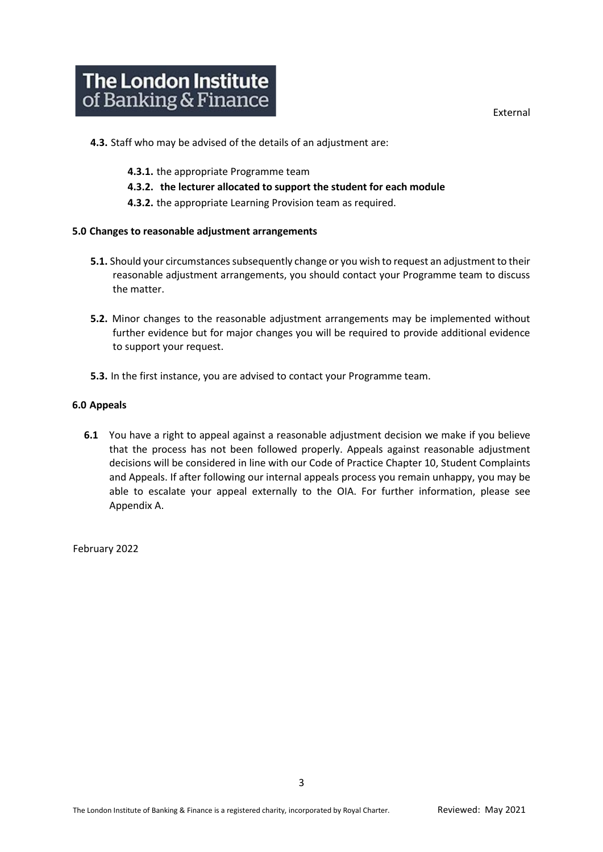- **4.3.** Staff who may be advised of the details of an adjustment are:
	- **4.3.1.** the appropriate Programme team
	- **4.3.2. the lecturer allocated to support the student for each module**
	- **4.3.2.** the appropriate Learning Provision team as required.

#### **5.0 Changes to reasonable adjustment arrangements**

- **5.1.** Should your circumstances subsequently change or you wish to request an adjustment to their reasonable adjustment arrangements, you should contact your Programme team to discuss the matter.
- **5.2.** Minor changes to the reasonable adjustment arrangements may be implemented without further evidence but for major changes you will be required to provide additional evidence to support your request.
- **5.3.** In the first instance, you are advised to contact your Programme team.

#### **6.0 Appeals**

**6.1** You have a right to appeal against a reasonable adjustment decision we make if you believe that the process has not been followed properly. Appeals against reasonable adjustment decisions will be considered in line with our Code of Practice Chapter 10, Student Complaints and Appeals. If after following our internal appeals process you remain unhappy, you may be able to escalate your appeal externally to the OIA. For further information, please see Appendix A.

February 2022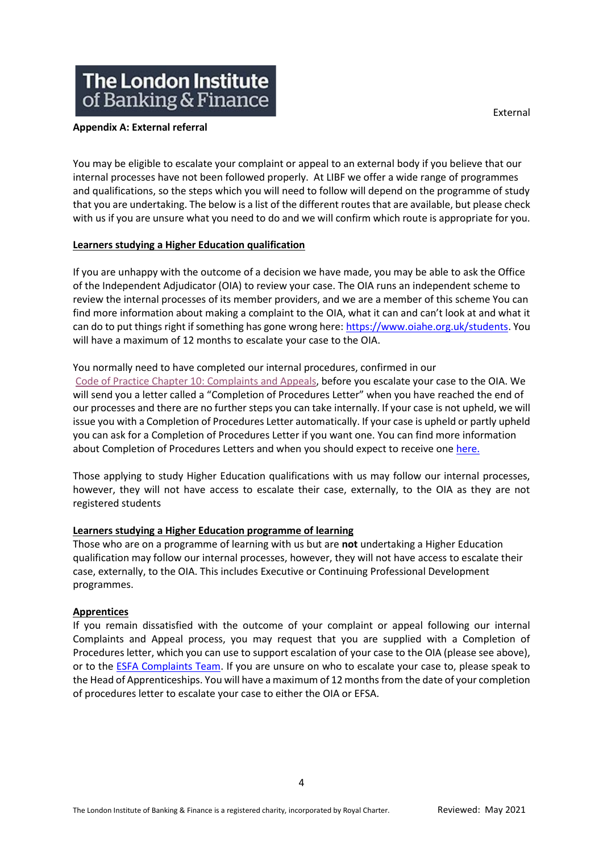## **The London Institute** of Banking & Finance

#### **Appendix A: External referral**

You may be eligible to escalate your complaint or appeal to an external body if you believe that our internal processes have not been followed properly. At LIBF we offer a wide range of programmes and qualifications, so the steps which you will need to follow will depend on the programme of study that you are undertaking. The below is a list of the different routes that are available, but please check with us if you are unsure what you need to do and we will confirm which route is appropriate for you.

## **Learners studying a Higher Education qualification**

If you are unhappy with the outcome of a decision we have made, you may be able to ask the Office of the Independent Adjudicator (OIA) to review your case. The OIA runs an independent scheme to review the internal processes of its member providers, and we are a member of this scheme You can find more information about making a complaint to the OIA, what it can and can't look at and what it can do to put things right if something has gone wrong here: [https://www.oiahe.org.uk/students.](https://www.oiahe.org.uk/students/) You will have a maximum of 12 months to escalate your case to the OIA.

## You normally need to have completed our internal procedures, confirmed in our

Code of Practice [Chapter 10: Complaints and Appeals,](https://www.libf.ac.uk/docs/default-source/about-us-docs/code-of-practice/chapter-10-complaints-and-appeals-(reviewed-july-2021-).pdf?sfvrsn=434268d_2) before you escalate your case to the OIA. We will send you a letter called a "Completion of Procedures Letter" when you have reached the end of our processes and there are no further steps you can take internally. If your case is not upheld, we will issue you with a Completion of Procedures Letter automatically. If your case is upheld or partly upheld you can ask for a Completion of Procedures Letter if you want one. You can find more information about Completion of Procedures Letters and when you should expect to receive one [here.](https://www.oiahe.org.uk/providers/completion-of-procedures%20letters)

Those applying to study Higher Education qualifications with us may follow our internal processes, however, they will not have access to escalate their case, externally, to the OIA as they are not registered students

## **Learners studying a Higher Education programme of learning**

Those who are on a programme of learning with us but are **not** undertaking a Higher Education qualification may follow our internal processes, however, they will not have access to escalate their case, externally, to the OIA. This includes Executive or Continuing Professional Development programmes.

#### **Apprentices**

If you remain dissatisfied with the outcome of your complaint or appeal following our internal Complaints and Appeal process, you may request that you are supplied with a Completion of Procedures letter, which you can use to support escalation of your case to the OIA (please see above), or to the [ESFA Complaints Team.](https://www.gov.uk/government/organisations/education-and-skills-funding-agency/about/complaints-procedure) If you are unsure on who to escalate your case to, please speak to the Head of Apprenticeships. You will have a maximum of 12 months from the date of your completion of procedures letter to escalate your case to either the OIA or EFSA.